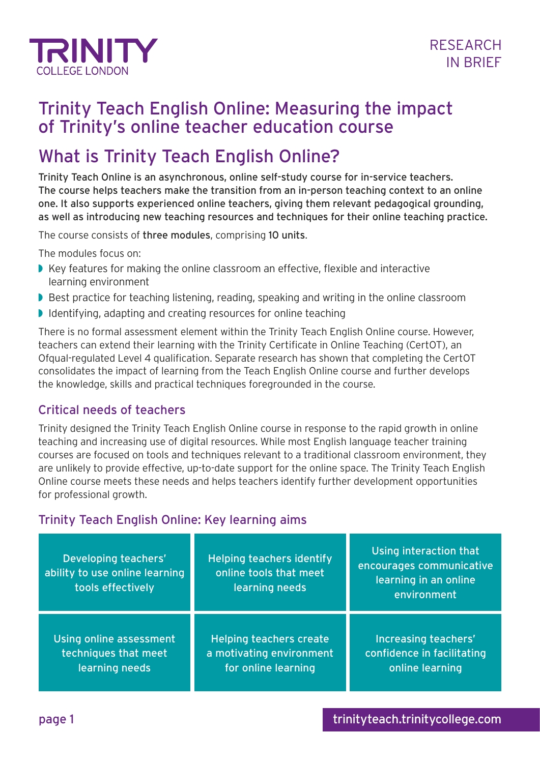

## Trinity Teach English Online: Measuring the impact of Trinity's online teacher education course

# What is Trinity Teach English Online?

Trinity Teach Online is an asynchronous, online self-study course for in-service teachers. The course helps teachers make the transition from an in-person teaching context to an online one. It also supports experienced online teachers, giving them relevant pedagogical grounding, as well as introducing new teaching resources and techniques for their online teaching practice.

The course consists of three modules, comprising 10 units.

The modules focus on:

- Key features for making the online classroom an effective, flexible and interactive learning environment
- Best practice for teaching listening, reading, speaking and writing in the online classroom
- ◗ Identifying, adapting and creating resources for online teaching

There is no formal assessment element within the Trinity Teach English Online course. However, teachers can extend their learning with the Trinity Certificate in Online Teaching (CertOT), an Ofqual-regulated Level 4 qualification. Separate research has shown that completing the CertOT consolidates the impact of learning from the Teach English Online course and further develops the knowledge, skills and practical techniques foregrounded in the course.

#### Critical needs of teachers

Trinity designed the Trinity Teach English Online course in response to the rapid growth in online teaching and increasing use of digital resources. While most English language teacher training courses are focused on tools and techniques relevant to a traditional classroom environment, they are unlikely to provide effective, up-to-date support for the online space. The Trinity Teach English Online course meets these needs and helps teachers identify further development opportunities for professional growth.

## Trinity Teach English Online: Key learning aims

| Developing teachers'<br>ability to use online learning<br>tools effectively | <b>Helping teachers identify</b><br>online tools that meet<br>learning needs | Using interaction that<br>encourages communicative<br>learning in an online<br>environment |
|-----------------------------------------------------------------------------|------------------------------------------------------------------------------|--------------------------------------------------------------------------------------------|
| Using online assessment                                                     | <b>Helping teachers create</b>                                               | Increasing teachers'                                                                       |
| techniques that meet                                                        | a motivating environment                                                     | confidence in facilitating                                                                 |
| learning needs                                                              | for online learning                                                          | online learning                                                                            |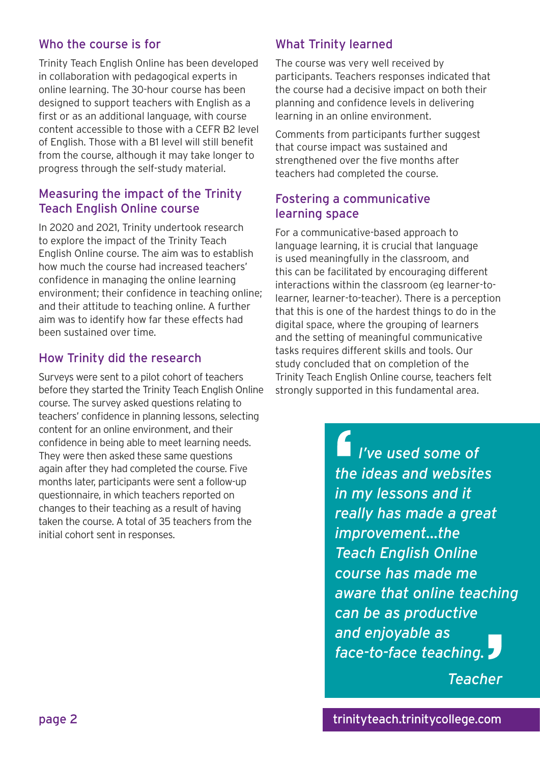#### Who the course is for

Trinity Teach English Online has been developed in collaboration with pedagogical experts in online learning. The 30-hour course has been designed to support teachers with English as a first or as an additional language, with course content accessible to those with a CEFR B2 level of English. Those with a B1 level will still benefit from the course, although it may take longer to progress through the self-study material.

#### Measuring the impact of the Trinity Teach English Online course

In 2020 and 2021, Trinity undertook research to explore the impact of the Trinity Teach English Online course. The aim was to establish how much the course had increased teachers' confidence in managing the online learning environment; their confidence in teaching online; and their attitude to teaching online. A further aim was to identify how far these effects had been sustained over time.

## How Trinity did the research

Surveys were sent to a pilot cohort of teachers before they started the Trinity Teach English Online course. The survey asked questions relating to teachers' confidence in planning lessons, selecting content for an online environment, and their confidence in being able to meet learning needs. They were then asked these same questions again after they had completed the course. Five months later, participants were sent a follow-up questionnaire, in which teachers reported on changes to their teaching as a result of having taken the course. A total of 35 teachers from the initial cohort sent in responses.

## What Trinity learned

The course was very well received by participants. Teachers responses indicated that the course had a decisive impact on both their planning and confidence levels in delivering learning in an online environment.

Comments from participants further suggest that course impact was sustained and strengthened over the five months after teachers had completed the course.

#### Fostering a communicative learning space

For a communicative-based approach to language learning, it is crucial that language is used meaningfully in the classroom, and this can be facilitated by encouraging different interactions within the classroom (eg learner-tolearner, learner-to-teacher). There is a perception that this is one of the hardest things to do in the digital space, where the grouping of learners and the setting of meaningful communicative tasks requires different skills and tools. Our study concluded that on completion of the Trinity Teach English Online course, teachers felt strongly supported in this fundamental area.

> *I've used some of the ideas and websites in my lessons and it really has made a great improvement…the Teach English Online course has made me aware that online teaching can be as productive and enjoyable as face-to-face teaching.*

> > *Teacher*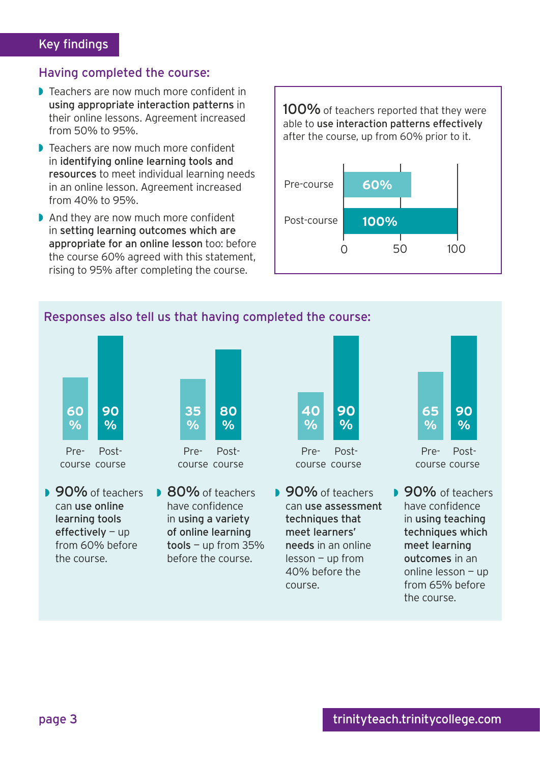#### Having completed the course:

- ◗ Teachers are now much more confident in using appropriate interaction patterns in their online lessons. Agreement increased from 50% to 95%.
- ◗ Teachers are now much more confident in identifying online learning tools and resources to meet individual learning needs in an online lesson. Agreement increased from 40% to 95%.
- ◗ And they are now much more confident in setting learning outcomes which are appropriate for an online lesson too: before the course 60% agreed with this statement, rising to 95% after completing the course.

100% of teachers reported that they were able to use interaction patterns effectively after the course, up from 60% prior to it.



## Responses also tell us that having completed the course:



course course Post-



Precourse course Post-

- **90%** of teachers can use online learning tools effectively — up from 60% before the course.
- 80% of teachers have confidence in using a variety of online learning  $tools - up from 35%$ before the course.



course course

**■ 90%** of teachers can use assessment techniques that meet learners' needs in an online lesson — up from 40% before the course.



Precourse course Post-

■ 90% of teachers have confidence in using teaching techniques which meet learning outcomes in an online lesson — up from 65% before the course.